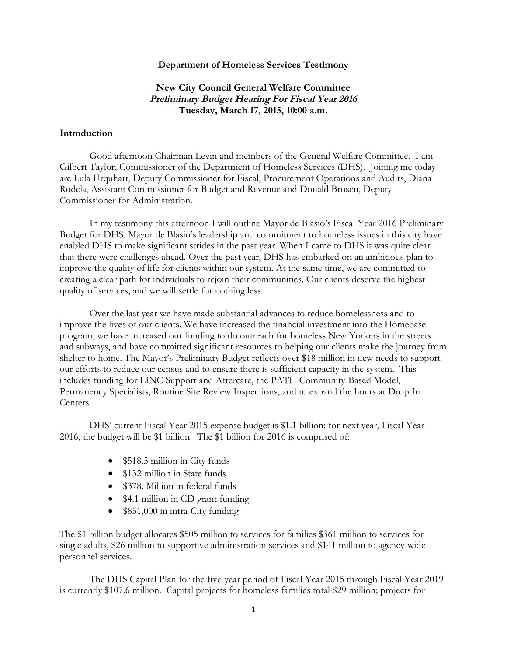#### **Department of Homeless Services Testimony**

# **New City Council General Welfare Committee Preliminary Budget Hearing For Fiscal Year <sup>2016</sup> Tuesday, March 17, 2015, 10:00 a.m.**

#### **Introduction**

Good afternoon Chairman Levin and members of the General Welfare Committee. I am Gilbert Taylor, Commissioner of the Department of Homeless Services (DHS). Joining me today are Lula Urquhart, Deputy Commissioner for Fiscal, Procurement Operations and Audits, Diana Rodela, Assistant Commissioner for Budget and Revenue and Donald Brosen, Deputy Commissioner for Administration.

In my testimony this afternoon I will outline Mayor de Blasio's Fiscal Year 2016 Preliminary Budget for DHS. Mayor de Blasio's leadership and commitment to homeless issues in this city have enabled DHS to make significant strides in the past year. When I came to DHS it was quite clear that there were challenges ahead. Over the past year, DHS has embarked on an ambitious plan to improve the quality of life for clients within our system. At the same time, we are committed to creating a clear path for individuals to rejoin their communities. Our clients deserve the highest quality of services, and we will settle for nothing less.

Over the last year we have made substantial advances to reduce homelessness and to improve the lives of our clients. We have increased the financial investment into the Homebase program; we have increased our funding to do outreach for homeless New Yorkers in the streets and subways, and have committed significant resources to helping our clients make the journey from shelter to home. The Mayor's Preliminary Budget reflects over \$18 million in new needs to support our efforts to reduce our census and to ensure there is sufficient capacity in the system. This includes funding for LINC Support and Aftercare, the PATH Community-Based Model, Permanency Specialists, Routine Site Review Inspections, and to expand the hours at Drop In Centers.

DHS' current Fiscal Year 2015 expense budget is \$1.1 billion; for next year, Fiscal Year 2016, the budget will be \$1 billion. The \$1 billion for 2016 is comprised of:

- \$518.5 million in City funds
- \$132 million in State funds
- \$378. Million in federal funds
- \$4.1 million in CD grant funding
- \$851,000 in intra-City funding

The \$1 billion budget allocates \$505 million to services for families \$361 million to services for single adults, \$26 million to supportive administration services and \$141 million to agency-wide personnel services.

The DHS Capital Plan for the five-year period of Fiscal Year 2015 through Fiscal Year 2019 is currently \$107.6 million. Capital projects for homeless families total \$29 million; projects for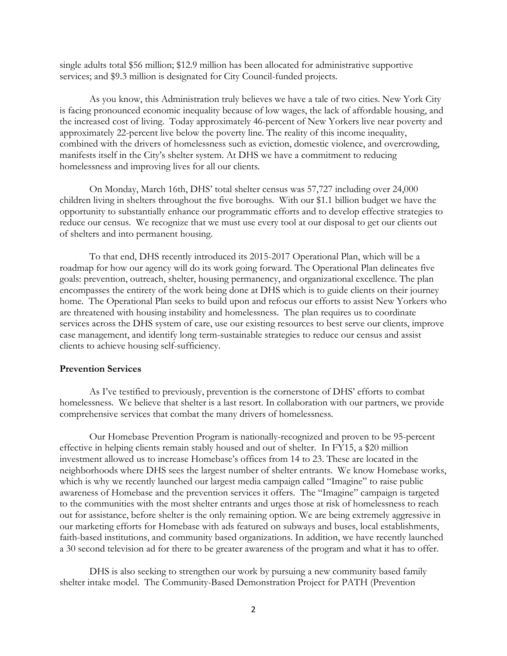single adults total \$56 million; \$12.9 million has been allocated for administrative supportive services; and \$9.3 million is designated for City Council-funded projects.

As you know, this Administration truly believes we have a tale of two cities. New York City is facing pronounced economic inequality because of low wages, the lack of affordable housing, and the increased cost of living. Today approximately 46-percent of New Yorkers live near poverty and approximately 22-percent live below the poverty line. The reality of this income inequality, combined with the drivers of homelessness such as eviction, domestic violence, and overcrowding, manifests itself in the City's shelter system. At DHS we have a commitment to reducing homelessness and improving lives for all our clients.

On Monday, March 16th, DHS' total shelter census was 57,727 including over 24,000 children living in shelters throughout the five boroughs. With our \$1.1 billion budget we have the opportunity to substantially enhance our programmatic efforts and to develop effective strategies to reduce our census. We recognize that we must use every tool at our disposal to get our clients out of shelters and into permanent housing.

To that end, DHS recently introduced its 2015-2017 Operational Plan, which will be a roadmap for how our agency will do its work going forward. The Operational Plan delineates five goals: prevention, outreach, shelter, housing permanency, and organizational excellence. The plan encompasses the entirety of the work being done at DHS which is to guide clients on their journey home. The Operational Plan seeks to build upon and refocus our efforts to assist New Yorkers who are threatened with housing instability and homelessness. The plan requires us to coordinate services across the DHS system of care, use our existing resources to best serve our clients, improve case management, and identify long term-sustainable strategies to reduce our census and assist clients to achieve housing self-sufficiency.

## **Prevention Services**

As I've testified to previously, prevention is the cornerstone of DHS' efforts to combat homelessness. We believe that shelter is a last resort. In collaboration with our partners, we provide comprehensive services that combat the many drivers of homelessness.

Our Homebase Prevention Program is nationally-recognized and proven to be 95-percent effective in helping clients remain stably housed and out of shelter. In FY15, a \$20 million investment allowed us to increase Homebase's offices from 14 to 23. These are located in the neighborhoods where DHS sees the largest number of shelter entrants. We know Homebase works, which is why we recently launched our largest media campaign called "Imagine" to raise public awareness of Homebase and the prevention services it offers. The "Imagine" campaign is targeted to the communities with the most shelter entrants and urges those at risk of homelessness to reach out for assistance, before shelter is the only remaining option. We are being extremely aggressive in our marketing efforts for Homebase with ads featured on subways and buses, local establishments, faith-based institutions, and community based organizations. In addition, we have recently launched a 30 second television ad for there to be greater awareness of the program and what it has to offer.

DHS is also seeking to strengthen our work by pursuing a new community based family shelter intake model. The Community-Based Demonstration Project for PATH (Prevention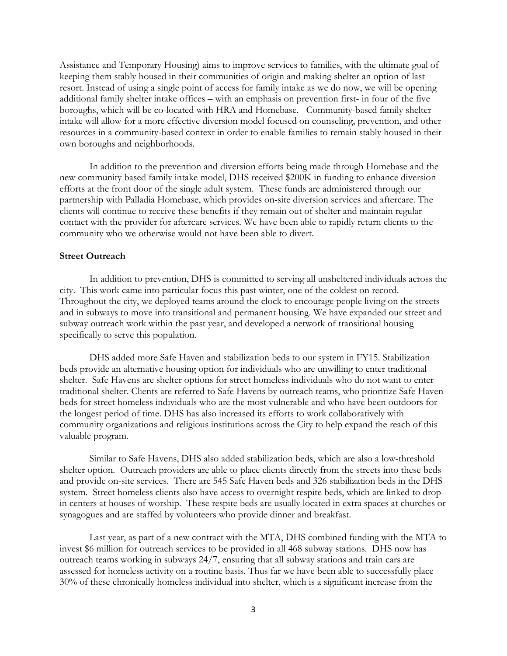Assistance and Temporary Housing) aims to improve services to families, with the ultimate goal of keeping them stably housed in their communities of origin and making shelter an option of last resort. Instead of using a single point of access for family intake as we do now, we will be opening additional family shelter intake offices – with an emphasis on prevention first- in four of the five boroughs, which will be co-located with HRA and Homebase. Community-based family shelter intake will allow for a more effective diversion model focused on counseling, prevention, and other resources in a community-based context in order to enable families to remain stably housed in their own boroughs and neighborhoods.

In addition to the prevention and diversion efforts being made through Homebase and the new community based family intake model, DHS received \$200K in funding to enhance diversion efforts at the front door of the single adult system. These funds are administered through our partnership with Palladia Homebase, which provides on-site diversion services and aftercare. The clients will continue to receive these benefits if they remain out of shelter and maintain regular contact with the provider for aftercare services. We have been able to rapidly return clients to the community who we otherwise would not have been able to divert.

## **Street Outreach**

In addition to prevention, DHS is committed to serving all unsheltered individuals across the city. This work came into particular focus this past winter, one of the coldest on record. Throughout the city, we deployed teams around the clock to encourage people living on the streets and in subways to move into transitional and permanent housing. We have expanded our street and subway outreach work within the past year, and developed a network of transitional housing specifically to serve this population.

DHS added more Safe Haven and stabilization beds to our system in FY15. Stabilization beds provide an alternative housing option for individuals who are unwilling to enter traditional shelter. Safe Havens are shelter options for street homeless individuals who do not want to enter traditional shelter. Clients are referred to Safe Havens by outreach teams, who prioritize Safe Haven beds for street homeless individuals who are the most vulnerable and who have been outdoors for the longest period of time. DHS has also increased its efforts to work collaboratively with community organizations and religious institutions across the City to help expand the reach of this valuable program.

Similar to Safe Havens, DHS also added stabilization beds, which are also a low-threshold shelter option. Outreach providers are able to place clients directly from the streets into these beds and provide on-site services. There are 545 Safe Haven beds and 326 stabilization beds in the DHS system. Street homeless clients also have access to overnight respite beds, which are linked to dropin centers at houses of worship. These respite beds are usually located in extra spaces at churches or synagogues and are staffed by volunteers who provide dinner and breakfast.

Last year, as part of a new contract with the MTA, DHS combined funding with the MTA to invest \$6 million for outreach services to be provided in all 468 subway stations. DHS now has outreach teams working in subways 24/7, ensuring that all subway stations and train cars are assessed for homeless activity on a routine basis. Thus far we have been able to successfully place 30% of these chronically homeless individual into shelter, which is a significant increase from the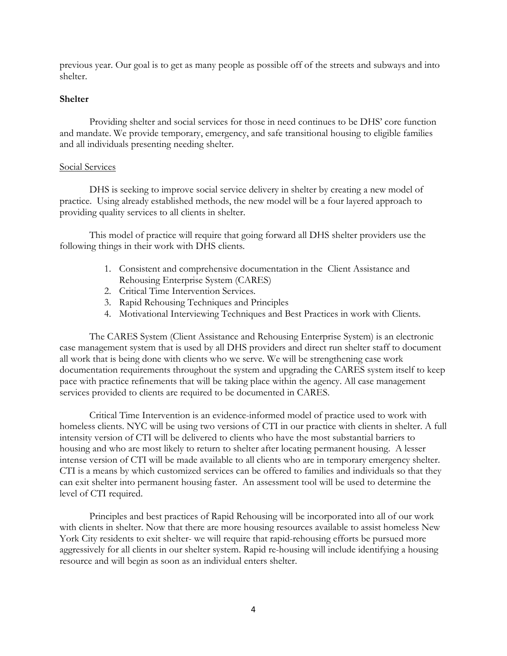previous year. Our goal is to get as many people as possible off of the streets and subways and into shelter.

# **Shelter**

Providing shelter and social services for those in need continues to be DHS' core function and mandate. We provide temporary, emergency, and safe transitional housing to eligible families and all individuals presenting needing shelter.

# Social Services

DHS is seeking to improve social service delivery in shelter by creating a new model of practice. Using already established methods, the new model will be a four layered approach to providing quality services to all clients in shelter.

This model of practice will require that going forward all DHS shelter providers use the following things in their work with DHS clients.

- 1. Consistent and comprehensive documentation in the Client Assistance and Rehousing Enterprise System (CARES)
- 2. Critical Time Intervention Services.
- 3. Rapid Rehousing Techniques and Principles
- 4. Motivational Interviewing Techniques and Best Practices in work with Clients.

The CARES System (Client Assistance and Rehousing Enterprise System) is an electronic case management system that is used by all DHS providers and direct run shelter staff to document all work that is being done with clients who we serve. We will be strengthening case work documentation requirements throughout the system and upgrading the CARES system itself to keep pace with practice refinements that will be taking place within the agency. All case management services provided to clients are required to be documented in CARES.

Critical Time Intervention is an evidence-informed model of practice used to work with homeless clients. NYC will be using two versions of CTI in our practice with clients in shelter. A full intensity version of CTI will be delivered to clients who have the most substantial barriers to housing and who are most likely to return to shelter after locating permanent housing. A lesser intense version of CTI will be made available to all clients who are in temporary emergency shelter. CTI is a means by which customized services can be offered to families and individuals so that they can exit shelter into permanent housing faster. An assessment tool will be used to determine the level of CTI required.

Principles and best practices of Rapid Rehousing will be incorporated into all of our work with clients in shelter. Now that there are more housing resources available to assist homeless New York City residents to exit shelter- we will require that rapid-rehousing efforts be pursued more aggressively for all clients in our shelter system. Rapid re-housing will include identifying a housing resource and will begin as soon as an individual enters shelter.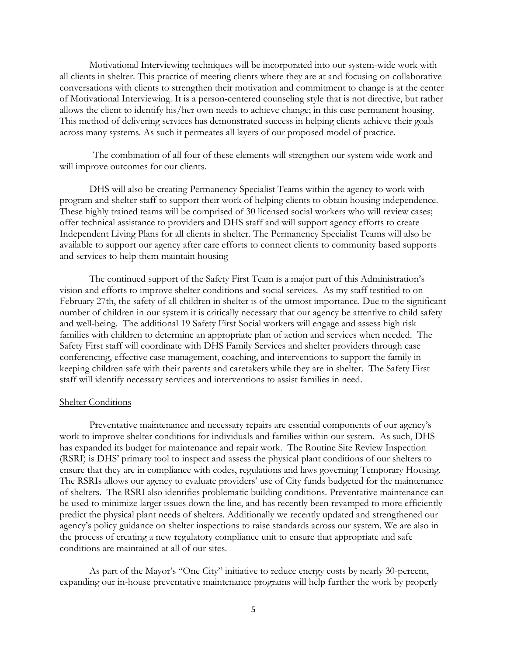Motivational Interviewing techniques will be incorporated into our system-wide work with all clients in shelter. This practice of meeting clients where they are at and focusing on collaborative conversations with clients to strengthen their motivation and commitment to change is at the center of Motivational Interviewing. It is a person-centered counseling style that is not directive, but rather allows the client to identify his/her own needs to achieve change; in this case permanent housing. This method of delivering services has demonstrated success in helping clients achieve their goals across many systems. As such it permeates all layers of our proposed model of practice.

The combination of all four of these elements will strengthen our system wide work and will improve outcomes for our clients.

DHS will also be creating Permanency Specialist Teams within the agency to work with program and shelter staff to support their work of helping clients to obtain housing independence. These highly trained teams will be comprised of 30 licensed social workers who will review cases; offer technical assistance to providers and DHS staff and will support agency efforts to create Independent Living Plans for all clients in shelter. The Permanency Specialist Teams will also be available to support our agency after care efforts to connect clients to community based supports and services to help them maintain housing

The continued support of the Safety First Team is a major part of this Administration's vision and efforts to improve shelter conditions and social services. As my staff testified to on February 27th, the safety of all children in shelter is of the utmost importance. Due to the significant number of children in our system it is critically necessary that our agency be attentive to child safety and well-being. The additional 19 Safety First Social workers will engage and assess high risk families with children to determine an appropriate plan of action and services when needed. The Safety First staff will coordinate with DHS Family Services and shelter providers through case conferencing, effective case management, coaching, and interventions to support the family in keeping children safe with their parents and caretakers while they are in shelter. The Safety First staff will identify necessary services and interventions to assist families in need.

#### **Shelter Conditions**

Preventative maintenance and necessary repairs are essential components of our agency's work to improve shelter conditions for individuals and families within our system. As such, DHS has expanded its budget for maintenance and repair work. The Routine Site Review Inspection (RSRI) is DHS' primary tool to inspect and assess the physical plant conditions of our shelters to ensure that they are in compliance with codes, regulations and laws governing Temporary Housing. The RSRIs allows our agency to evaluate providers' use of City funds budgeted for the maintenance of shelters. The RSRI also identifies problematic building conditions. Preventative maintenance can be used to minimize larger issues down the line, and has recently been revamped to more efficiently predict the physical plant needs of shelters. Additionally we recently updated and strengthened our agency's policy guidance on shelter inspections to raise standards across our system. We are also in the process of creating a new regulatory compliance unit to ensure that appropriate and safe conditions are maintained at all of our sites.

As part of the Mayor's "One City" initiative to reduce energy costs by nearly 30-percent, expanding our in-house preventative maintenance programs will help further the work by properly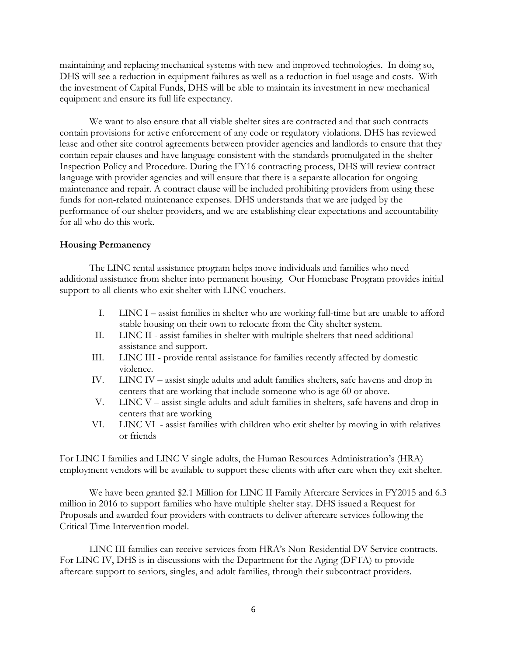maintaining and replacing mechanical systems with new and improved technologies. In doing so, DHS will see a reduction in equipment failures as well as a reduction in fuel usage and costs. With the investment of Capital Funds, DHS will be able to maintain its investment in new mechanical equipment and ensure its full life expectancy.

We want to also ensure that all viable shelter sites are contracted and that such contracts contain provisions for active enforcement of any code or regulatory violations. DHS has reviewed lease and other site control agreements between provider agencies and landlords to ensure that they contain repair clauses and have language consistent with the standards promulgated in the shelter Inspection Policy and Procedure. During the FY16 contracting process, DHS will review contract language with provider agencies and will ensure that there is a separate allocation for ongoing maintenance and repair. A contract clause will be included prohibiting providers from using these funds for non-related maintenance expenses. DHS understands that we are judged by the performance of our shelter providers, and we are establishing clear expectations and accountability for all who do this work.

## **Housing Permanency**

The LINC rental assistance program helps move individuals and families who need additional assistance from shelter into permanent housing. Our Homebase Program provides initial support to all clients who exit shelter with LINC vouchers.

- I. LINC I assist families in shelter who are working full-time but are unable to afford stable housing on their own to relocate from the City shelter system.
- II. LINC II assist families in shelter with multiple shelters that need additional assistance and support.
- III. LINC III provide rental assistance for families recently affected by domestic violence.
- IV. LINC IV assist single adults and adult families shelters, safe havens and drop in centers that are working that include someone who is age 60 or above.
- V. LINC V assist single adults and adult families in shelters, safe havens and drop in centers that are working
- VI. LINC VI assist families with children who exit shelter by moving in with relatives or friends

For LINC I families and LINC V single adults, the Human Resources Administration's (HRA) employment vendors will be available to support these clients with after care when they exit shelter.

We have been granted \$2.1 Million for LINC II Family Aftercare Services in FY2015 and 6.3 million in 2016 to support families who have multiple shelter stay. DHS issued a Request for Proposals and awarded four providers with contracts to deliver aftercare services following the Critical Time Intervention model.

LINC III families can receive services from HRA's Non-Residential DV Service contracts. For LINC IV, DHS is in discussions with the Department for the Aging (DFTA) to provide aftercare support to seniors, singles, and adult families, through their subcontract providers.